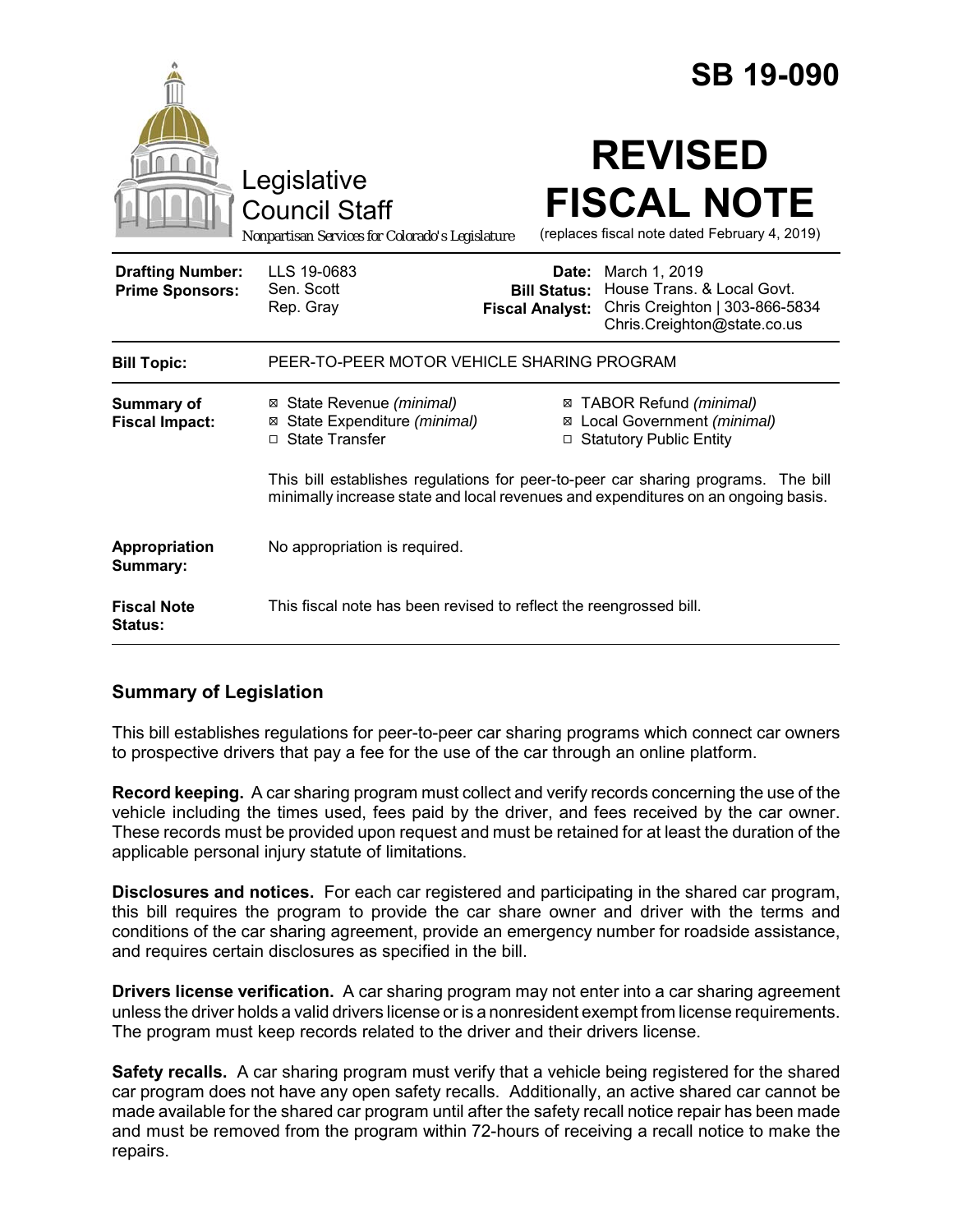|                                                   |                                                                                                                                                                        |                                               | <b>SB 19-090</b>                                                                                                          |
|---------------------------------------------------|------------------------------------------------------------------------------------------------------------------------------------------------------------------------|-----------------------------------------------|---------------------------------------------------------------------------------------------------------------------------|
|                                                   | Legislative<br><b>Council Staff</b><br>Nonpartisan Services for Colorado's Legislature                                                                                 |                                               | <b>REVISED</b><br><b>FISCAL NOTE</b><br>(replaces fiscal note dated February 4, 2019)                                     |
| <b>Drafting Number:</b><br><b>Prime Sponsors:</b> | LLS 19-0683<br>Sen. Scott<br>Rep. Gray                                                                                                                                 | <b>Bill Status:</b><br><b>Fiscal Analyst:</b> | <b>Date:</b> March 1, 2019<br>House Trans, & Local Govt.<br>Chris Creighton   303-866-5834<br>Chris.Creighton@state.co.us |
| <b>Bill Topic:</b>                                | PEER-TO-PEER MOTOR VEHICLE SHARING PROGRAM                                                                                                                             |                                               |                                                                                                                           |
| Summary of<br><b>Fiscal Impact:</b>               | ⊠ State Revenue (minimal)<br>⊠ State Expenditure (minimal)<br>□ State Transfer                                                                                         |                                               | ⊠ TABOR Refund (minimal)<br>⊠ Local Government (minimal)<br>□ Statutory Public Entity                                     |
|                                                   | This bill establishes regulations for peer-to-peer car sharing programs. The bill<br>minimally increase state and local revenues and expenditures on an ongoing basis. |                                               |                                                                                                                           |
| Appropriation<br>Summary:                         | No appropriation is required.                                                                                                                                          |                                               |                                                                                                                           |
| <b>Fiscal Note</b><br><b>Status:</b>              | This fiscal note has been revised to reflect the reengrossed bill.                                                                                                     |                                               |                                                                                                                           |

# **Summary of Legislation**

This bill establishes regulations for peer-to-peer car sharing programs which connect car owners to prospective drivers that pay a fee for the use of the car through an online platform.

**Record keeping.** A car sharing program must collect and verify records concerning the use of the vehicle including the times used, fees paid by the driver, and fees received by the car owner. These records must be provided upon request and must be retained for at least the duration of the applicable personal injury statute of limitations.

**Disclosures and notices.** For each car registered and participating in the shared car program, this bill requires the program to provide the car share owner and driver with the terms and conditions of the car sharing agreement, provide an emergency number for roadside assistance, and requires certain disclosures as specified in the bill.

**Drivers license verification.** A car sharing program may not enter into a car sharing agreement unless the driver holds a valid drivers license or is a nonresident exempt from license requirements. The program must keep records related to the driver and their drivers license.

**Safety recalls.** A car sharing program must verify that a vehicle being registered for the shared car program does not have any open safety recalls. Additionally, an active shared car cannot be made available for the shared car program until after the safety recall notice repair has been made and must be removed from the program within 72-hours of receiving a recall notice to make the repairs.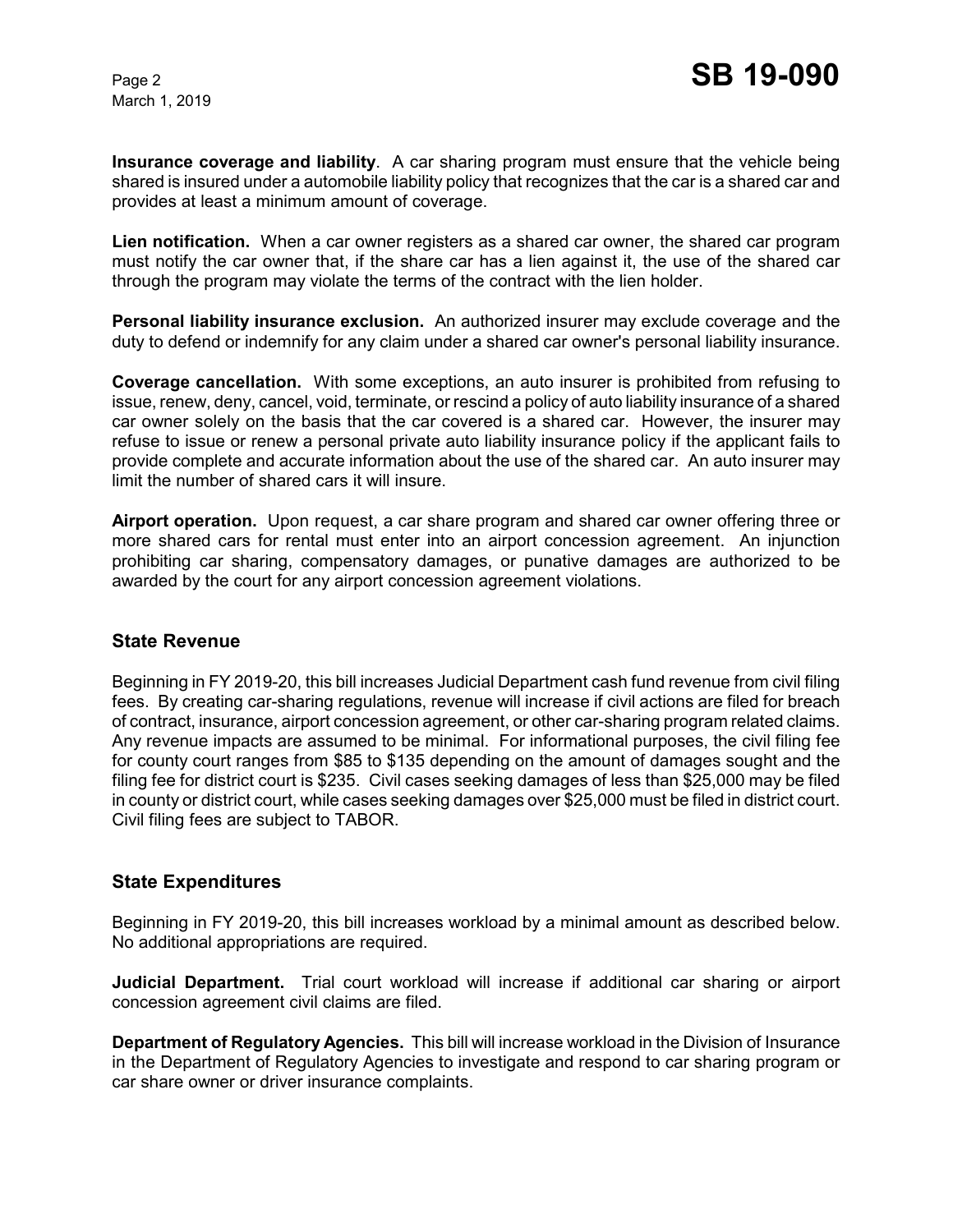March 1, 2019

**Insurance coverage and liability**. A car sharing program must ensure that the vehicle being shared is insured under a automobile liability policy that recognizes that the car is a shared car and provides at least a minimum amount of coverage.

**Lien notification.** When a car owner registers as a shared car owner, the shared car program must notify the car owner that, if the share car has a lien against it, the use of the shared car through the program may violate the terms of the contract with the lien holder.

**Personal liability insurance exclusion.** An authorized insurer may exclude coverage and the duty to defend or indemnify for any claim under a shared car owner's personal liability insurance.

**Coverage cancellation.** With some exceptions, an auto insurer is prohibited from refusing to issue, renew, deny, cancel, void, terminate, or rescind a policy of auto liability insurance of a shared car owner solely on the basis that the car covered is a shared car. However, the insurer may refuse to issue or renew a personal private auto liability insurance policy if the applicant fails to provide complete and accurate information about the use of the shared car. An auto insurer may limit the number of shared cars it will insure.

**Airport operation.** Upon request, a car share program and shared car owner offering three or more shared cars for rental must enter into an airport concession agreement. An injunction prohibiting car sharing, compensatory damages, or punative damages are authorized to be awarded by the court for any airport concession agreement violations.

# **State Revenue**

Beginning in FY 2019-20, this bill increases Judicial Department cash fund revenue from civil filing fees. By creating car-sharing regulations, revenue will increase if civil actions are filed for breach of contract, insurance, airport concession agreement, or other car-sharing program related claims. Any revenue impacts are assumed to be minimal. For informational purposes, the civil filing fee for county court ranges from \$85 to \$135 depending on the amount of damages sought and the filing fee for district court is \$235. Civil cases seeking damages of less than \$25,000 may be filed in county or district court, while cases seeking damages over \$25,000 must be filed in district court. Civil filing fees are subject to TABOR.

# **State Expenditures**

Beginning in FY 2019-20, this bill increases workload by a minimal amount as described below. No additional appropriations are required.

**Judicial Department.** Trial court workload will increase if additional car sharing or airport concession agreement civil claims are filed.

**Department of Regulatory Agencies.** This bill will increase workload in the Division of Insurance in the Department of Regulatory Agencies to investigate and respond to car sharing program or car share owner or driver insurance complaints.